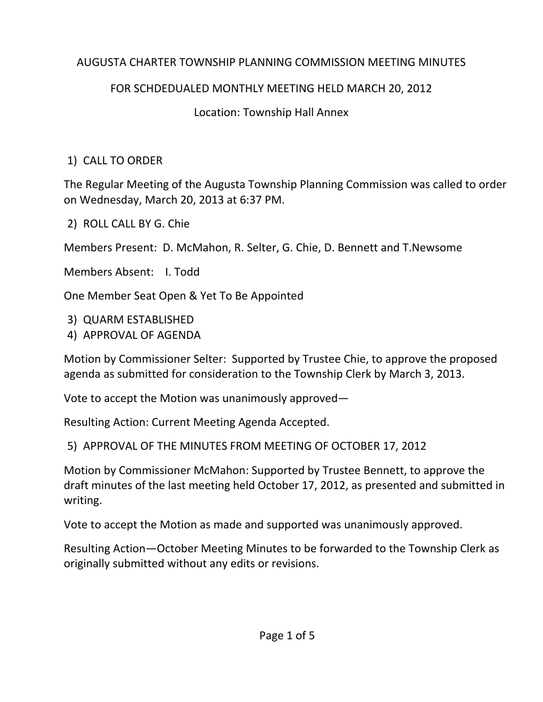### AUGUSTA CHARTER TOWNSHIP PLANNING COMMISSION MEETING MINUTES

## FOR SCHDEDUALED MONTHLY MEETING HELD MARCH 20, 2012

# Location: Township Hall Annex

# 1) CALL TO ORDER

The Regular Meeting of the Augusta Township Planning Commission was called to order on Wednesday, March 20, 2013 at 6:37 PM.

2) ROLL CALL BY G. Chie

Members Present: D. McMahon, R. Selter, G. Chie, D. Bennett and T.Newsome

Members Absent: I. Todd

One Member Seat Open & Yet To Be Appointed

3) QUARM ESTABLISHED

4) APPROVAL OF AGENDA

Motion by Commissioner Selter: Supported by Trustee Chie, to approve the proposed agenda as submitted for consideration to the Township Clerk by March 3, 2013.

Vote to accept the Motion was unanimously approved—

Resulting Action: Current Meeting Agenda Accepted.

5) APPROVAL OF THE MINUTES FROM MEETING OF OCTOBER 17, 2012

Motion by Commissioner McMahon: Supported by Trustee Bennett, to approve the draft minutes of the last meeting held October 17, 2012, as presented and submitted in writing.

Vote to accept the Motion as made and supported was unanimously approved.

Resulting Action—October Meeting Minutes to be forwarded to the Township Clerk as originally submitted without any edits or revisions.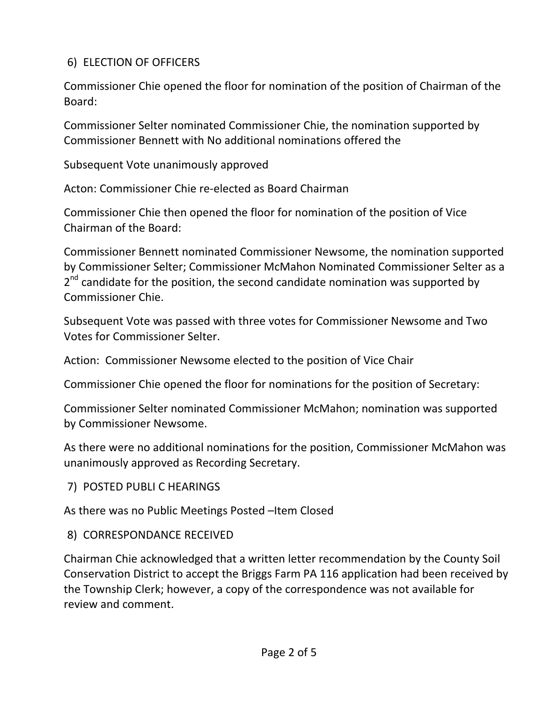## 6) ELECTION OF OFFICERS

Commissioner Chie opened the floor for nomination of the position of Chairman of the Board:

Commissioner Selter nominated Commissioner Chie, the nomination supported by Commissioner Bennett with No additional nominations offered the

Subsequent Vote unanimously approved

Acton: Commissioner Chie re‐elected as Board Chairman

Commissioner Chie then opened the floor for nomination of the position of Vice Chairman of the Board:

Commissioner Bennett nominated Commissioner Newsome, the nomination supported by Commissioner Selter; Commissioner McMahon Nominated Commissioner Selter as a  $2<sup>nd</sup>$  candidate for the position, the second candidate nomination was supported by Commissioner Chie.

Subsequent Vote was passed with three votes for Commissioner Newsome and Two Votes for Commissioner Selter.

Action: Commissioner Newsome elected to the position of Vice Chair

Commissioner Chie opened the floor for nominations for the position of Secretary:

Commissioner Selter nominated Commissioner McMahon; nomination was supported by Commissioner Newsome.

As there were no additional nominations for the position, Commissioner McMahon was unanimously approved as Recording Secretary.

7) POSTED PUBLI C HEARINGS

As there was no Public Meetings Posted –Item Closed

#### 8) CORRESPONDANCE RECEIVED

Chairman Chie acknowledged that a written letter recommendation by the County Soil Conservation District to accept the Briggs Farm PA 116 application had been received by the Township Clerk; however, a copy of the correspondence was not available for review and comment.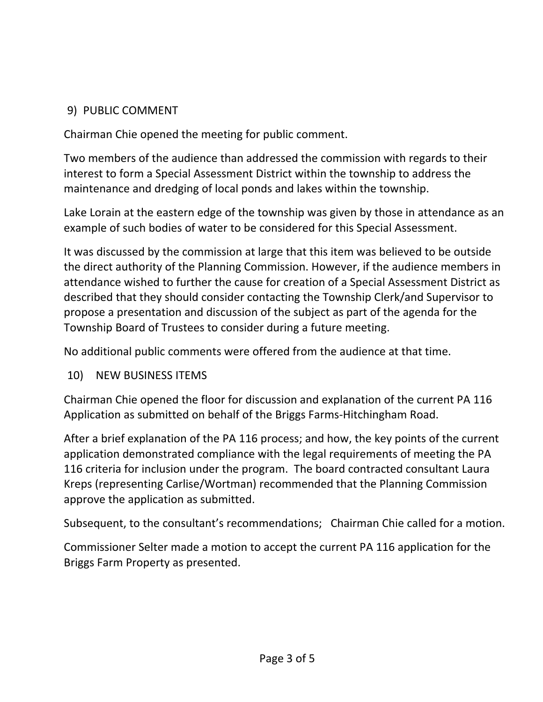### 9) PUBLIC COMMENT

Chairman Chie opened the meeting for public comment.

Two members of the audience than addressed the commission with regards to their interest to form a Special Assessment District within the township to address the maintenance and dredging of local ponds and lakes within the township.

Lake Lorain at the eastern edge of the township was given by those in attendance as an example of such bodies of water to be considered for this Special Assessment.

It was discussed by the commission at large that this item was believed to be outside the direct authority of the Planning Commission. However, if the audience members in attendance wished to further the cause for creation of a Special Assessment District as described that they should consider contacting the Township Clerk/and Supervisor to propose a presentation and discussion of the subject as part of the agenda for the Township Board of Trustees to consider during a future meeting.

No additional public comments were offered from the audience at that time.

#### 10) NEW BUSINESS ITEMS

Chairman Chie opened the floor for discussion and explanation of the current PA 116 Application as submitted on behalf of the Briggs Farms‐Hitchingham Road.

After a brief explanation of the PA 116 process; and how, the key points of the current application demonstrated compliance with the legal requirements of meeting the PA 116 criteria for inclusion under the program. The board contracted consultant Laura Kreps (representing Carlise/Wortman) recommended that the Planning Commission approve the application as submitted.

Subsequent, to the consultant's recommendations; Chairman Chie called for a motion.

Commissioner Selter made a motion to accept the current PA 116 application for the Briggs Farm Property as presented.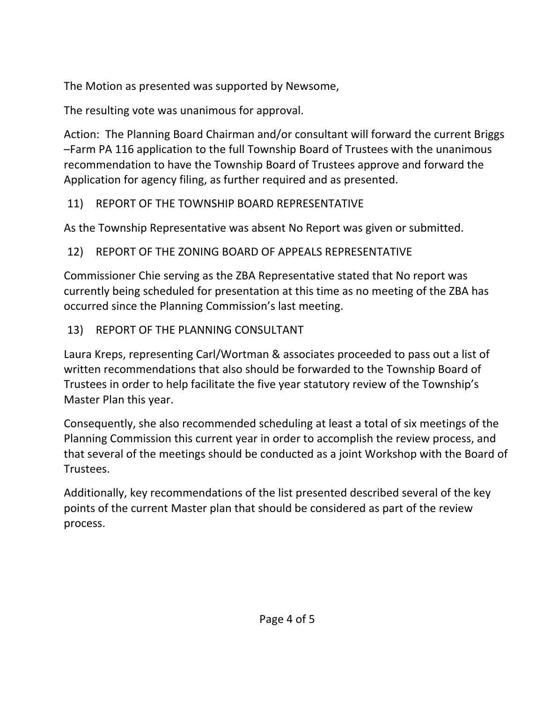The Motion as presented was supported by Newsome,

The resulting vote was unanimous for approval.

Action: The Planning Board Chairman and/or consultant will forward the current Briggs –Farm PA 116 application to the full Township Board of Trustees with the unanimous recommendation to have the Township Board of Trustees approve and forward the Application for agency filing, as further required and as presented.

# 11) REPORT OF THE TOWNSHIP BOARD REPRESENTATIVE

As the Township Representative was absent No Report was given or submitted.

# 12) REPORT OF THE ZONING BOARD OF APPEALS REPRESENTATIVE

Commissioner Chie serving as the ZBA Representative stated that No report was currently being scheduled for presentation at this time as no meeting of the ZBA has occurred since the Planning Commission's last meeting.

13) REPORT OF THE PLANNING CONSULTANT

Laura Kreps, representing Carl/Wortman & associates proceeded to pass out a list of written recommendations that also should be forwarded to the Township Board of Trustees in order to help facilitate the five year statutory review of the Township's Master Plan this year.

Consequently, she also recommended scheduling at least a total of six meetings of the Planning Commission this current year in order to accomplish the review process, and that several of the meetings should be conducted as a joint Workshop with the Board of Trustees.

Additionally, key recommendations of the list presented described several of the key points of the current Master plan that should be considered as part of the review process.